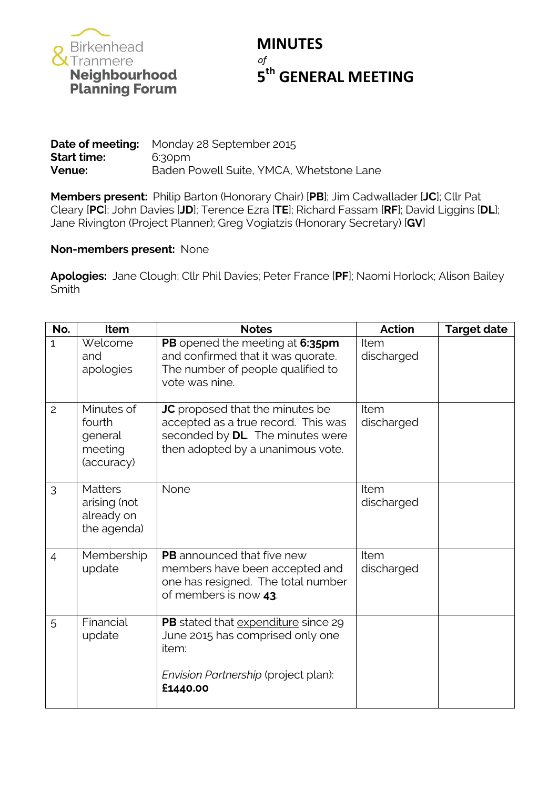

## **MINUTES** *of* **th GENERAL MEETING**

|                    | <b>Date of meeting:</b> Monday 28 September 2015 |
|--------------------|--------------------------------------------------|
| <b>Start time:</b> | 6:30pm                                           |
| Venue:             | Baden Powell Suite, YMCA, Whetstone Lane         |

**Members present:** Philip Barton (Honorary Chair) [**PB**]; Jim Cadwallader [**JC**]; Cllr Pat Cleary [**PC**]; John Davies [**JD**]; Terence Ezra [**TE**]; Richard Fassam [**RF**]; David Liggins [**DL**]; Jane Rivington (Project Planner); Greg Vogiatzis (Honorary Secretary) [**GV**]

## **Non-members present:** None

**Apologies:** Jane Clough; Cllr Phil Davies; Peter France [**PF**]; Naomi Horlock; Alison Bailey Smith

| No.            | <b>Item</b>                                                 | <b>Notes</b>                                                                                                                                           | <b>Action</b>      | <b>Target date</b> |
|----------------|-------------------------------------------------------------|--------------------------------------------------------------------------------------------------------------------------------------------------------|--------------------|--------------------|
| $\mathbf{1}$   | Welcome<br>and<br>apologies                                 | PB opened the meeting at 6:35pm<br>and confirmed that it was quorate.<br>The number of people qualified to<br>vote was nine.                           | Item<br>discharged |                    |
| 2              | Minutes of<br>fourth<br>general<br>meeting<br>(accuracy)    | <b>JC</b> proposed that the minutes be<br>accepted as a true record. This was<br>seconded by DL. The minutes were<br>then adopted by a unanimous vote. | Item<br>discharged |                    |
| 3              | <b>Matters</b><br>arising (not<br>already on<br>the agenda) | None                                                                                                                                                   | Item<br>discharged |                    |
| $\overline{4}$ | Membership<br>update                                        | <b>PB</b> announced that five new<br>members have been accepted and<br>one has resigned. The total number<br>of members is now 43.                     | Item<br>discharged |                    |
| 5              | Financial<br>update                                         | PB stated that expenditure since 29<br>June 2015 has comprised only one<br>item:                                                                       |                    |                    |
|                |                                                             | Envision Partnership (project plan):<br>£1440.00                                                                                                       |                    |                    |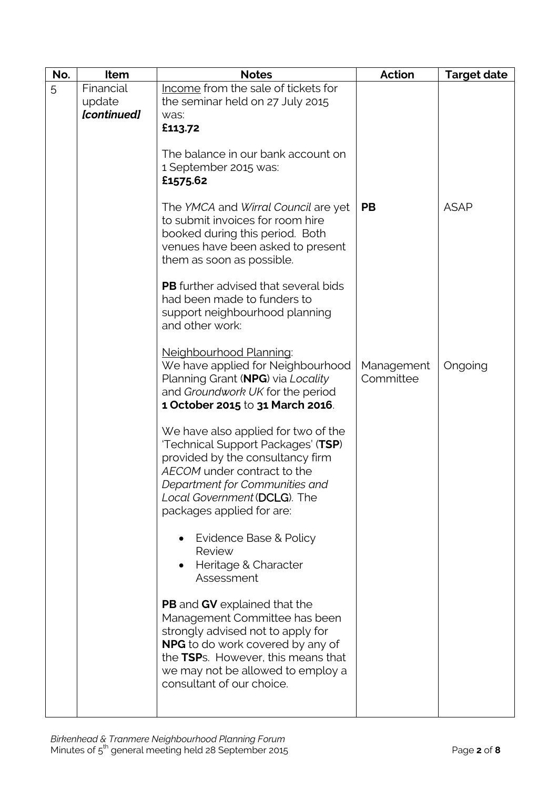| No. | Item                | <b>Notes</b>                                                                                                                                                                                                                                                        | <b>Action</b>           | <b>Target date</b> |
|-----|---------------------|---------------------------------------------------------------------------------------------------------------------------------------------------------------------------------------------------------------------------------------------------------------------|-------------------------|--------------------|
| 5   | Financial<br>update | Income from the sale of tickets for<br>the seminar held on 27 July 2015                                                                                                                                                                                             |                         |                    |
|     | [continued]         | was:<br>£113.72                                                                                                                                                                                                                                                     |                         |                    |
|     |                     |                                                                                                                                                                                                                                                                     |                         |                    |
|     |                     | The balance in our bank account on<br>1 September 2015 was:<br>£1575.62                                                                                                                                                                                             |                         |                    |
|     |                     | The YMCA and Wirral Council are yet<br>to submit invoices for room hire<br>booked during this period. Both<br>venues have been asked to present<br>them as soon as possible.                                                                                        | <b>PB</b>               | <b>ASAP</b>        |
|     |                     | <b>PB</b> further advised that several bids<br>had been made to funders to<br>support neighbourhood planning<br>and other work:                                                                                                                                     |                         |                    |
|     |                     | Neighbourhood Planning:<br>We have applied for Neighbourhood<br>Planning Grant (NPG) via Locality<br>and Groundwork UK for the period<br>1 October 2015 to 31 March 2016.                                                                                           | Management<br>Committee | Ongoing            |
|     |                     | We have also applied for two of the<br>'Technical Support Packages' (TSP)<br>provided by the consultancy firm<br>AECOM under contract to the<br>Department for Communities and<br>Local Government (DCLG). The<br>packages applied for are:                         |                         |                    |
|     |                     | Evidence Base & Policy<br>Review<br>Heritage & Character<br>Assessment                                                                                                                                                                                              |                         |                    |
|     |                     | <b>PB</b> and <b>GV</b> explained that the<br>Management Committee has been<br>strongly advised not to apply for<br><b>NPG</b> to do work covered by any of<br>the TSPs. However, this means that<br>we may not be allowed to employ a<br>consultant of our choice. |                         |                    |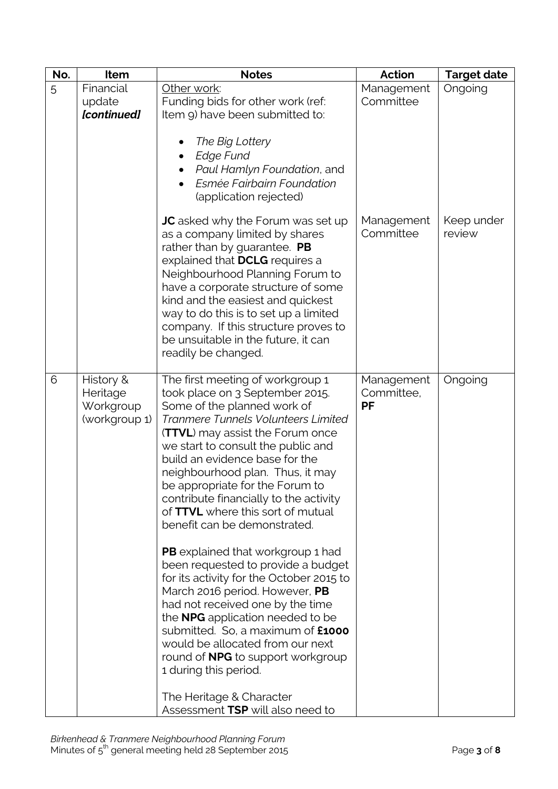| No. | Item                                                | <b>Notes</b>                                                                                                                                                                                                                                                                                                                                                                                                                                                                                                                                                                                                                                                                                                                                                                                                                                                                                                           | <b>Action</b>                         | <b>Target date</b>   |
|-----|-----------------------------------------------------|------------------------------------------------------------------------------------------------------------------------------------------------------------------------------------------------------------------------------------------------------------------------------------------------------------------------------------------------------------------------------------------------------------------------------------------------------------------------------------------------------------------------------------------------------------------------------------------------------------------------------------------------------------------------------------------------------------------------------------------------------------------------------------------------------------------------------------------------------------------------------------------------------------------------|---------------------------------------|----------------------|
| 5   | Financial                                           | Other work:                                                                                                                                                                                                                                                                                                                                                                                                                                                                                                                                                                                                                                                                                                                                                                                                                                                                                                            | Management                            | Ongoing              |
|     | update                                              | Funding bids for other work (ref:                                                                                                                                                                                                                                                                                                                                                                                                                                                                                                                                                                                                                                                                                                                                                                                                                                                                                      | Committee                             |                      |
|     | [continued]                                         | Item 9) have been submitted to:                                                                                                                                                                                                                                                                                                                                                                                                                                                                                                                                                                                                                                                                                                                                                                                                                                                                                        |                                       |                      |
|     |                                                     | The Big Lottery<br>Edge Fund<br>Paul Hamlyn Foundation, and<br>Esmée Fairbairn Foundation<br>(application rejected)                                                                                                                                                                                                                                                                                                                                                                                                                                                                                                                                                                                                                                                                                                                                                                                                    |                                       |                      |
|     |                                                     | <b>JC</b> asked why the Forum was set up<br>as a company limited by shares<br>rather than by guarantee. PB<br>explained that DCLG requires a<br>Neighbourhood Planning Forum to<br>have a corporate structure of some<br>kind and the easiest and quickest<br>way to do this is to set up a limited<br>company. If this structure proves to<br>be unsuitable in the future, it can<br>readily be changed.                                                                                                                                                                                                                                                                                                                                                                                                                                                                                                              | Management<br>Committee               | Keep under<br>review |
| 6   | History &<br>Heritage<br>Workgroup<br>(workgroup 1) | The first meeting of workgroup 1<br>took place on 3 September 2015.<br>Some of the planned work of<br>Tranmere Tunnels Volunteers Limited<br><b>(TTVL)</b> may assist the Forum once<br>we start to consult the public and<br>build an evidence base for the<br>neighbourhood plan. Thus, it may<br>be appropriate for the Forum to<br>contribute financially to the activity<br>of TTVL where this sort of mutual<br>benefit can be demonstrated.<br><b>PB</b> explained that workgroup 1 had<br>been requested to provide a budget<br>for its activity for the October 2015 to<br>March 2016 period. However, PB<br>had not received one by the time<br>the <b>NPG</b> application needed to be<br>submitted. So, a maximum of <b>£1000</b><br>would be allocated from our next<br>round of <b>NPG</b> to support workgroup<br>1 during this period.<br>The Heritage & Character<br>Assessment TSP will also need to | Management<br>Committee,<br><b>PF</b> | Ongoing              |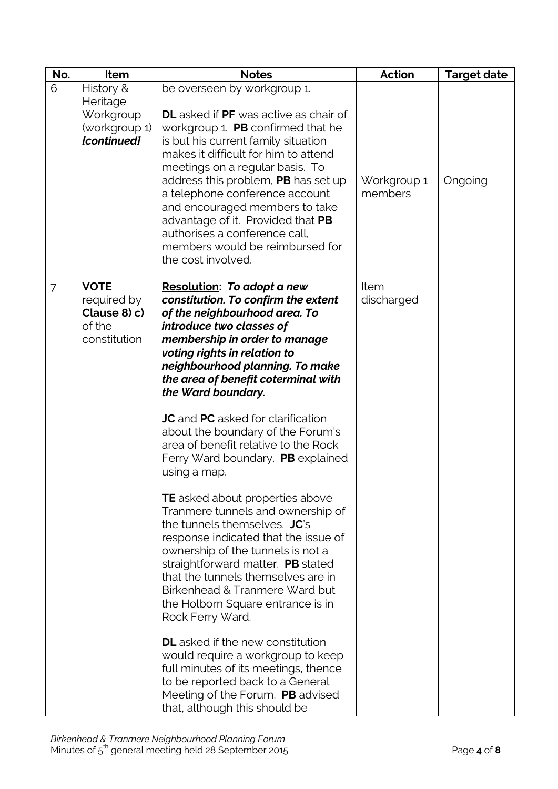| No. | Item                                                                      | <b>Notes</b>                                                                                                                                                                                                                                                                                                                                                                                                                                                                                                                                                                                                                                                                                                                                                                                                                                                                                                                                                                                                                                                                                   | <b>Action</b>             | <b>Target date</b> |
|-----|---------------------------------------------------------------------------|------------------------------------------------------------------------------------------------------------------------------------------------------------------------------------------------------------------------------------------------------------------------------------------------------------------------------------------------------------------------------------------------------------------------------------------------------------------------------------------------------------------------------------------------------------------------------------------------------------------------------------------------------------------------------------------------------------------------------------------------------------------------------------------------------------------------------------------------------------------------------------------------------------------------------------------------------------------------------------------------------------------------------------------------------------------------------------------------|---------------------------|--------------------|
| 6   | History &<br>Heritage<br>Workgroup<br>(workgroup 1)<br><b>[continued]</b> | be overseen by workgroup 1.<br><b>DL</b> asked if PF was active as chair of<br>workgroup 1. PB confirmed that he<br>is but his current family situation<br>makes it difficult for him to attend<br>meetings on a regular basis. To<br>address this problem, PB has set up<br>a telephone conference account<br>and encouraged members to take<br>advantage of it. Provided that PB<br>authorises a conference call,<br>members would be reimbursed for<br>the cost involved.                                                                                                                                                                                                                                                                                                                                                                                                                                                                                                                                                                                                                   | Workgroup 1<br>members    | Ongoing            |
| 7   | <b>VOTE</b><br>required by<br>Clause 8) c)<br>of the<br>constitution      | <b>Resolution: To adopt a new</b><br>constitution. To confirm the extent<br>of the neighbourhood area. To<br>introduce two classes of<br>membership in order to manage<br>voting rights in relation to<br>neighbourhood planning. To make<br>the area of benefit coterminal with<br>the Ward boundary.<br><b>JC</b> and <b>PC</b> asked for clarification<br>about the boundary of the Forum's<br>area of benefit relative to the Rock<br>Ferry Ward boundary. PB explained<br>using a map.<br><b>TE</b> asked about properties above<br>Tranmere tunnels and ownership of<br>the tunnels themselves. JC's<br>response indicated that the issue of<br>ownership of the tunnels is not a<br>straightforward matter. PB stated<br>that the tunnels themselves are in<br>Birkenhead & Tranmere Ward but<br>the Holborn Square entrance is in<br>Rock Ferry Ward.<br><b>DL</b> asked if the new constitution<br>would require a workgroup to keep<br>full minutes of its meetings, thence<br>to be reported back to a General<br>Meeting of the Forum. PB advised<br>that, although this should be | <b>Item</b><br>discharged |                    |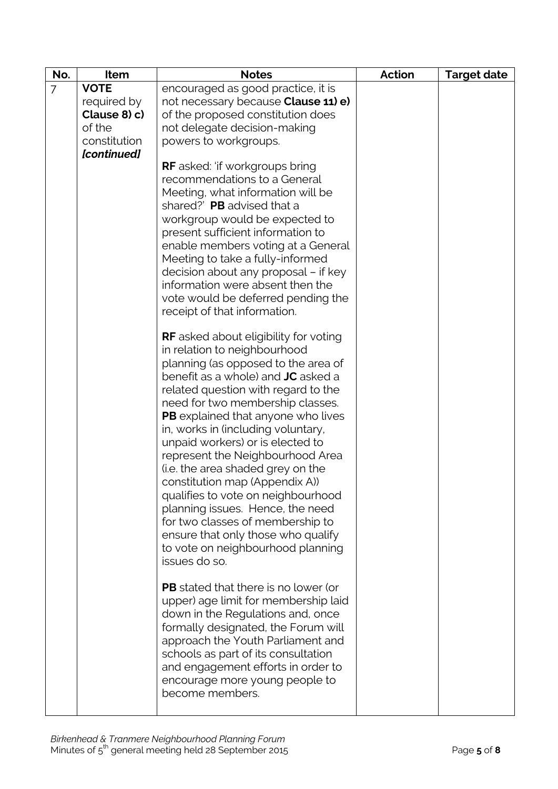| No.            | Item         | <b>Notes</b>                                                              | <b>Action</b> | <b>Target date</b> |
|----------------|--------------|---------------------------------------------------------------------------|---------------|--------------------|
| $\overline{7}$ | <b>VOTE</b>  | encouraged as good practice, it is                                        |               |                    |
|                | required by  | not necessary because <b>Clause 11) e)</b>                                |               |                    |
|                | Clause 8) c) | of the proposed constitution does                                         |               |                    |
|                | of the       | not delegate decision-making                                              |               |                    |
|                | constitution | powers to workgroups.                                                     |               |                    |
|                | [continued]  |                                                                           |               |                    |
|                |              | <b>RF</b> asked: 'if workgroups bring                                     |               |                    |
|                |              | recommendations to a General                                              |               |                    |
|                |              | Meeting, what information will be                                         |               |                    |
|                |              | shared?' PB advised that a                                                |               |                    |
|                |              | workgroup would be expected to                                            |               |                    |
|                |              | present sufficient information to                                         |               |                    |
|                |              | enable members voting at a General<br>Meeting to take a fully-informed    |               |                    |
|                |              | decision about any proposal – if key                                      |               |                    |
|                |              | information were absent then the                                          |               |                    |
|                |              | vote would be deferred pending the                                        |               |                    |
|                |              | receipt of that information.                                              |               |                    |
|                |              |                                                                           |               |                    |
|                |              | <b>RF</b> asked about eligibility for voting                              |               |                    |
|                |              | in relation to neighbourhood                                              |               |                    |
|                |              | planning (as opposed to the area of                                       |               |                    |
|                |              | benefit as a whole) and JC asked a                                        |               |                    |
|                |              | related question with regard to the                                       |               |                    |
|                |              | need for two membership classes.                                          |               |                    |
|                |              | PB explained that anyone who lives                                        |               |                    |
|                |              | in, works in (including voluntary,<br>unpaid workers) or is elected to    |               |                    |
|                |              | represent the Neighbourhood Area                                          |               |                    |
|                |              | (i.e. the area shaded grey on the                                         |               |                    |
|                |              | constitution map (Appendix A))                                            |               |                    |
|                |              | qualifies to vote on neighbourhood                                        |               |                    |
|                |              | planning issues. Hence, the need                                          |               |                    |
|                |              | for two classes of membership to                                          |               |                    |
|                |              | ensure that only those who qualify                                        |               |                    |
|                |              | to vote on neighbourhood planning                                         |               |                    |
|                |              | issues do so.                                                             |               |                    |
|                |              |                                                                           |               |                    |
|                |              | <b>PB</b> stated that there is no lower (or                               |               |                    |
|                |              | upper) age limit for membership laid                                      |               |                    |
|                |              | down in the Regulations and, once                                         |               |                    |
|                |              | formally designated, the Forum will                                       |               |                    |
|                |              | approach the Youth Parliament and                                         |               |                    |
|                |              | schools as part of its consultation<br>and engagement efforts in order to |               |                    |
|                |              | encourage more young people to                                            |               |                    |
|                |              | become members.                                                           |               |                    |
|                |              |                                                                           |               |                    |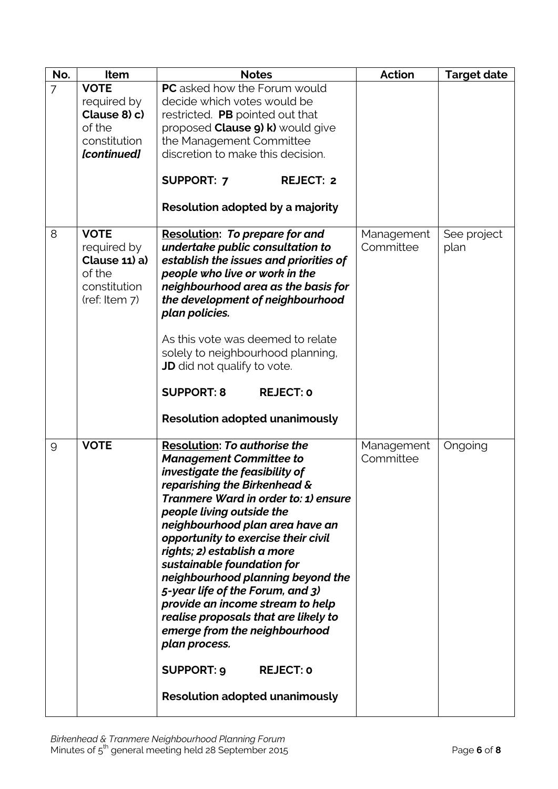| No.            | Item                                                                                   | <b>Notes</b>                                                                                                                                                                                                                                                                                                                                                                                                                                                                                                                                                                                        | <b>Action</b>           | <b>Target date</b>  |
|----------------|----------------------------------------------------------------------------------------|-----------------------------------------------------------------------------------------------------------------------------------------------------------------------------------------------------------------------------------------------------------------------------------------------------------------------------------------------------------------------------------------------------------------------------------------------------------------------------------------------------------------------------------------------------------------------------------------------------|-------------------------|---------------------|
| $\overline{7}$ | <b>VOTE</b>                                                                            | <b>PC</b> asked how the Forum would                                                                                                                                                                                                                                                                                                                                                                                                                                                                                                                                                                 |                         |                     |
|                | required by                                                                            | decide which votes would be                                                                                                                                                                                                                                                                                                                                                                                                                                                                                                                                                                         |                         |                     |
|                | Clause 8) c)                                                                           | restricted. PB pointed out that                                                                                                                                                                                                                                                                                                                                                                                                                                                                                                                                                                     |                         |                     |
|                | of the                                                                                 | proposed Clause 9) k) would give                                                                                                                                                                                                                                                                                                                                                                                                                                                                                                                                                                    |                         |                     |
|                | constitution                                                                           | the Management Committee                                                                                                                                                                                                                                                                                                                                                                                                                                                                                                                                                                            |                         |                     |
|                | [continued]                                                                            | discretion to make this decision.                                                                                                                                                                                                                                                                                                                                                                                                                                                                                                                                                                   |                         |                     |
|                |                                                                                        | <b>SUPPORT: 7</b><br><b>REJECT: 2</b>                                                                                                                                                                                                                                                                                                                                                                                                                                                                                                                                                               |                         |                     |
|                |                                                                                        | Resolution adopted by a majority                                                                                                                                                                                                                                                                                                                                                                                                                                                                                                                                                                    |                         |                     |
| 8              | <b>VOTE</b><br>required by<br>Clause 11) a)<br>of the<br>constitution<br>(ref: Item 7) | <b>Resolution: To prepare for and</b><br>undertake public consultation to<br>establish the issues and priorities of<br>people who live or work in the<br>neighbourhood area as the basis for<br>the development of neighbourhood<br>plan policies.                                                                                                                                                                                                                                                                                                                                                  | Management<br>Committee | See project<br>plan |
|                |                                                                                        | As this vote was deemed to relate<br>solely to neighbourhood planning,<br><b>JD</b> did not qualify to vote.                                                                                                                                                                                                                                                                                                                                                                                                                                                                                        |                         |                     |
|                |                                                                                        | <b>SUPPORT: 8</b><br><b>REJECT: 0</b>                                                                                                                                                                                                                                                                                                                                                                                                                                                                                                                                                               |                         |                     |
|                |                                                                                        | <b>Resolution adopted unanimously</b>                                                                                                                                                                                                                                                                                                                                                                                                                                                                                                                                                               |                         |                     |
| $\overline{9}$ | <b>VOTE</b>                                                                            | <b>Resolution: To authorise the</b><br><b>Management Committee to</b><br>investigate the feasibility of<br>reparishing the Birkenhead &<br>Tranmere Ward in order to: 1) ensure<br>people living outside the<br>neighbourhood plan area have an<br>opportunity to exercise their civil<br>rights; 2) establish a more<br>sustainable foundation for<br>neighbourhood planning beyond the<br>5-year life of the Forum, and 3)<br>provide an income stream to help<br>realise proposals that are likely to<br>emerge from the neighbourhood<br>plan process.<br><b>SUPPORT: 9</b><br><b>REJECT: 0</b> | Management<br>Committee | Ongoing             |
|                |                                                                                        | <b>Resolution adopted unanimously</b>                                                                                                                                                                                                                                                                                                                                                                                                                                                                                                                                                               |                         |                     |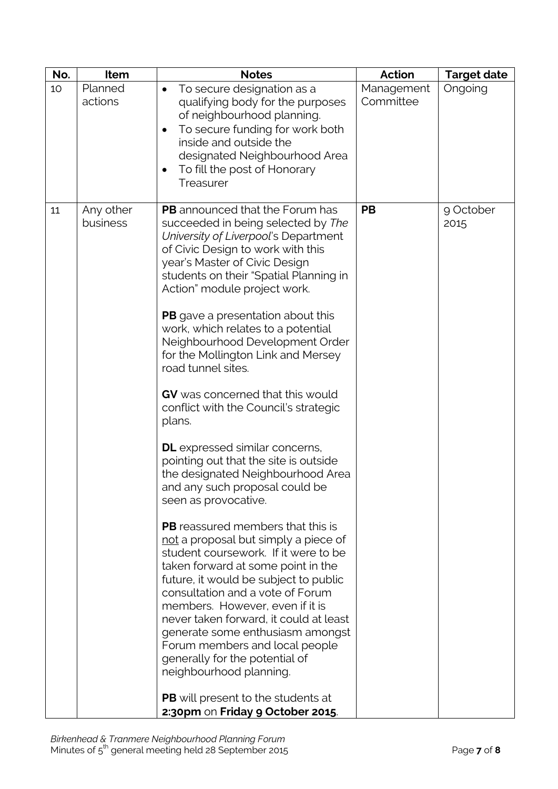| No. | Item                  | <b>Notes</b>                                                                                                                                                                                                                                                                                                                                                                                                                                                                                                                                                                                                                                                                                                                                                                                                                                                                                                                                                                                                                                                                                                                                                                                                                                                                  | <b>Action</b>           | <b>Target date</b> |
|-----|-----------------------|-------------------------------------------------------------------------------------------------------------------------------------------------------------------------------------------------------------------------------------------------------------------------------------------------------------------------------------------------------------------------------------------------------------------------------------------------------------------------------------------------------------------------------------------------------------------------------------------------------------------------------------------------------------------------------------------------------------------------------------------------------------------------------------------------------------------------------------------------------------------------------------------------------------------------------------------------------------------------------------------------------------------------------------------------------------------------------------------------------------------------------------------------------------------------------------------------------------------------------------------------------------------------------|-------------------------|--------------------|
| 10  | Planned<br>actions    | To secure designation as a<br>qualifying body for the purposes<br>of neighbourhood planning.<br>To secure funding for work both<br>inside and outside the<br>designated Neighbourhood Area<br>To fill the post of Honorary<br>٠<br>Treasurer                                                                                                                                                                                                                                                                                                                                                                                                                                                                                                                                                                                                                                                                                                                                                                                                                                                                                                                                                                                                                                  | Management<br>Committee | Ongoing            |
| 11  | Any other<br>business | <b>PB</b> announced that the Forum has<br>succeeded in being selected by The<br>University of Liverpool's Department<br>of Civic Design to work with this<br>year's Master of Civic Design<br>students on their "Spatial Planning in<br>Action" module project work.<br><b>PB</b> gave a presentation about this<br>work, which relates to a potential<br>Neighbourhood Development Order<br>for the Mollington Link and Mersey<br>road tunnel sites.<br>GV was concerned that this would<br>conflict with the Council's strategic<br>plans.<br><b>DL</b> expressed similar concerns,<br>pointing out that the site is outside<br>the designated Neighbourhood Area<br>and any such proposal could be<br>seen as provocative.<br><b>PB</b> reassured members that this is<br>not a proposal but simply a piece of<br>student coursework. If it were to be<br>taken forward at some point in the<br>future, it would be subject to public<br>consultation and a vote of Forum<br>members. However, even if it is<br>never taken forward, it could at least<br>generate some enthusiasm amongst<br>Forum members and local people<br>generally for the potential of<br>neighbourhood planning.<br><b>PB</b> will present to the students at<br>2:30pm on Friday 9 October 2015. | <b>PB</b>               | 9 October<br>2015  |